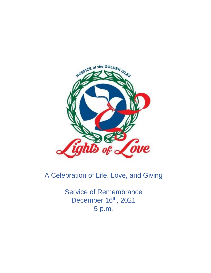

# A Celebration of Life, Love, and Giving

Service of Remembrance December 16th, 2021 5 p.m.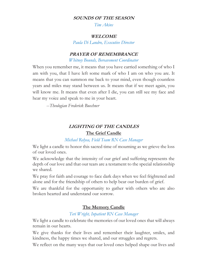#### **SOUNDS OF THE SEASON**

*Tim Akins*

#### **WELCOME**

*Paula Di Landro, Executive Director*

### **PRAYER OF REMEMBRANCE**

*Whitney Bounds, Bereavement Coordinator*

When you remember me, it means that you have carried something of who I am with you, that I have left some mark of who I am on who you are. It means that you can summon me back to your mind, even though countless years and miles may stand between us. It means that if we meet again, you will know me. It means that even after I die, you can still see my face and hear my voice and speak to me in your heart.

--*Theologian Frederick Buechner*

# **LIGHTING OF THE CANDLES The Grief Candle**

### *Michael Relyea, Field Team RN Case Manager*

We light a candle to honor this sacred time of mourning as we grieve the loss of our loved ones.

We acknowledge that the intensity of our grief and suffering represents the depth of our love and that our tears are a testament to the special relationship we shared.

We pray for faith and courage to face dark days when we feel frightened and alone and for the friendship of others to help bear our burden of grief.

We are thankful for the opportunity to gather with others who are also broken hearted and understand our sorrow.

### **The Memory Candle**

### *Teri Wright, Inpatient RN Case Manager*

We light a candle to celebrate the memories of our loved ones that will always remain in our hearts.

We give thanks for their lives and remember their laughter, smiles, and kindness, the happy times we shared, and our struggles and regrets.

We reflect on the many ways that our loved ones helped shape our lives and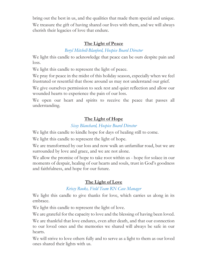bring out the best in us, and the qualities that made them special and unique. We treasure the gift of having shared our lives with them, and we will always cherish their legacies of love that endure.

### **The Light of Peace**

## *Beryl Mitchell-Blanford, Hospice Board Director*

We light this candle to acknowledge that peace can be ours despite pain and loss.

We light this candle to represent the light of peace.

We pray for peace in the midst of this holiday season, especially when we feel frustrated or resentful that those around us may not understand our grief.

We give ourselves permission to seek rest and quiet reflection and allow our wounded hearts to experience the pain of our loss.

We open our heart and spirits to receive the peace that passes all understanding.

# **The Light of Hope**

### *Sissy Blanchard, Hospice Board Director*

We light this candle to kindle hope for days of healing still to come.

We light this candle to represent the light of hope.

We are transformed by our loss and now walk an unfamiliar road, but we are surrounded by love and grace, and we are not alone.

We allow the promise of hope to take root within us - hope for solace in our moments of despair, healing of our hearts and souls, trust in God's goodness and faithfulness, and hope for our future.

# **The Light of Love**

# *Krissy Rooks, Field Team RN Case Manager*

We light this candle to give thanks for love, which carries us along in its embrace.

We light this candle to represent the light of love.

We are grateful for the capacity to love and the blessing of having been loved.

We are thankful that love endures, even after death, and that our connection to our loved ones and the memories we shared will always be safe in our hearts.

We will strive to love others fully and to serve as a light to them as our loved ones shared their lights with us.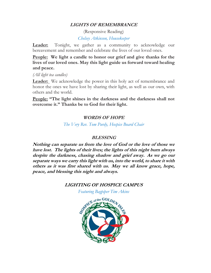### **LIGHTS OF REMEMBRANCE**

(Responsive Reading) *Chelsey Atkinson, Housekeeper*

**Leader:** Tonight, we gather as a community to acknowledge our bereavement and remember and celebrate the lives of our loved ones.

**People: We light a candle to honor our grief and give thanks for the lives of our loved ones. May this light guide us forward toward healing and peace.**

*(All light tea candles)*

**Leader:** We acknowledge the power in this holy act of remembrance and honor the ones we have lost by sharing their light, as well as our own, with others and the world.

**People: "The light shines in the darkness and the darkness shall not overcome it." Thanks be to God for their light.** 

### **WORDS OF HOPE**

*The Very Rev. Tom Purdy, Hospice Board Chair*

#### **BLESSING**

**Nothing can separate us from the love of God or the love of those we have lost. The lights of their lives; the lights of this night burn always despite the darkness, chasing shadow and grief away. As we go our separate ways we carry this light with us, into the world, to share it with others as it was first shared with us. May we all know grace, hope, peace, and blessing this night and always.** 

#### **LIGHTING OF HOSPICE CAMPUS**